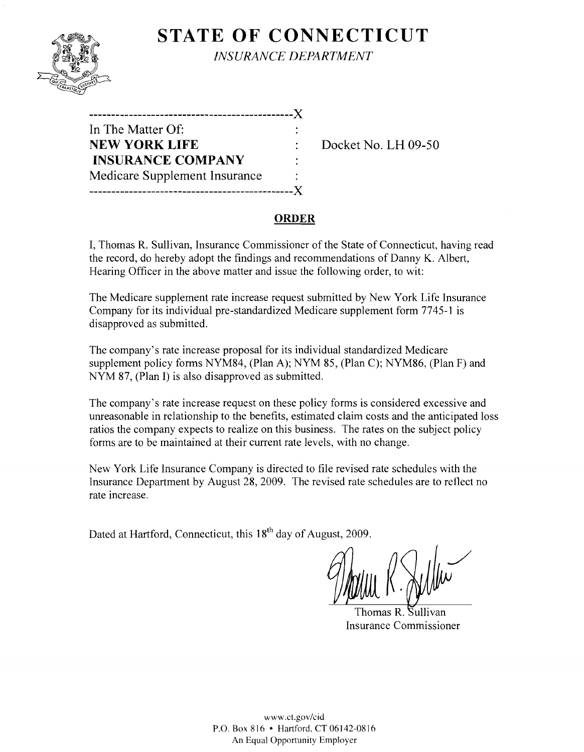

## **STATE OF CONNECTICUT** *INSURANCE DEPARTMENT*

| -----------------------------   |   |   |
|---------------------------------|---|---|
| In The Matter Of:               |   |   |
| <b>NEW YORK LIFE</b>            |   | D |
| <b>INSURANCE COMPANY</b>        | ٠ |   |
| Medicare Supplement Insurance   |   |   |
| .______________________________ |   |   |

**NEW YORK LIFE** Docket No. **LH** 09-50

#### **ORDER**

I, Thomas R. Sullivan, Insurance Commissioner of the State of Connecticut, having read the record, do hereby adopt the findings and recommendations of Danny K. Albert, Hearing Officer in the above matter and issue the following order, to wit:

The Medicare supplement rate increase request submitted by New York Life Insurance Company for its individual pre-standardized Medicare supplement form 7745-1 is disapproved as submitted.

The company's rate increase proposal for its individual standardized Medicare supplement policy forms NYM84, (Plan A); NYM 85, (Plan C); NYM86, (Plan F) and NYM 87, (Plan I) is also disapproved as submitted.

The company's rate increase request on these policy forms is considered excessive and unreasonable in relationship to the benefits, estimated claim costs and the anticipated loss ratios the company expects to realize on this business. The rates on the subject policy forms are to be maintained at their current rate levels, with no change.

New York Life Insurance Company is directed to file revised rate schedules with the Insurance Department by August 28, 2009. The revised rate schedules are to reflect no rate increase.

Dated at Hartford, Connecticut, this 18<sup>th</sup> day of August, 2009.

homas R. Sullivan Insurance Commissioner

WWW.cLgov/cid P.O. Box 816 • Hartford. CT 06142-0816 An Equal Opportunity Employer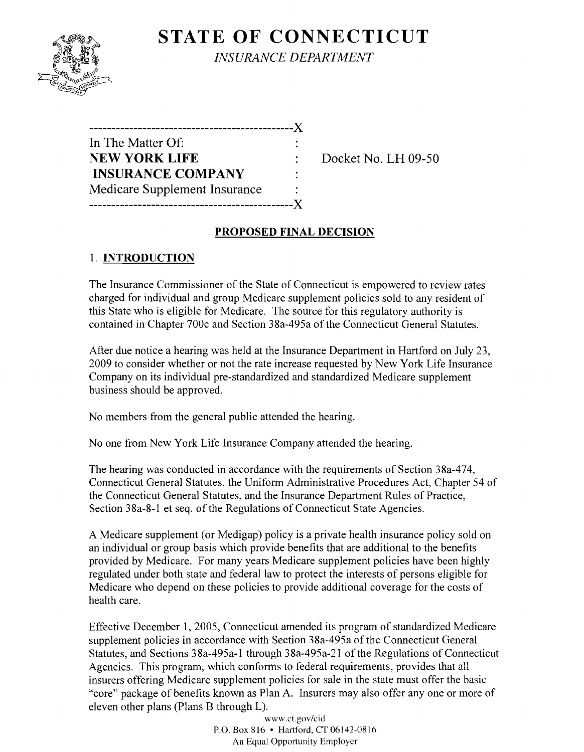# **STATE OF CONNECTICUT**



*INSURANCE DEPARTMENT* 

| ------------                  |  |
|-------------------------------|--|
| In The Matter Of:             |  |
| <b>NEW YORK LIFE</b>          |  |
| <b>INSURANCE COMPANY</b>      |  |
| Medicare Supplement Insurance |  |
|                               |  |

**NEW YORK LIFE** Docket No. **LH** 09-50

#### **PROPOSED FINAL DECISION**

### 1. **INTRODUCTION**

The Insurance Commissioner of the State of Connecticut is empowered to review rates charged for individual and group Medicare supplement policies sold to any resident of this State who is eligible for Medicare. The source for this regulatory authority is contained in Chapter 700c and Section 38a-495a of the Connecticut General Statutes.

After due notice a hearing was held at the Insurance Department in Hartford on July 23, 2009 to consider whether or not the rate increase requested by New York Life Insurance Company on its individual pre-standardized and standardized Medicare supplement business should be approved.

No members from the general public attended the hearing.

No one from New York Life Insurance Company attended the hearing.

The hearing was conducted in accordance with the requirements of Section 38a-474, Connecticut General Statutes, the Uniform Administrative Procedures Act, Chapter 54 of the Connecticut General Statutes, and the Insurance Department Rules of Practice, Section 38a-8-1 et seq. of the Regulations of Connecticut State Agencies.

A Medicare supplement (or Medigap) policy is a private health insurance policy sold on an individual or group basis which provide benefits that are additional to the benefits provided by Medicare. For many years Medicare supplement policies have been highly regulated under both state and federal law to protect the interests of persons eligible for Medicare who depend on these policies to provide additional coverage for the costs of health care.

Effective December 1,2005, Connecticut amended its program of standardized Medicare supplement policies in accordance with Section 38a-495a of the Connecticut General Statutes, and Sections 38a-495a-1 through 38a-495a-21 of the Regulations of Connecticut Agencies. This program, which conforms to federal requirements, provides that all insurers offering Medicare supplement policies for sale in the state must offer the basic "core" package of benefits known as Plan A. Insurers may also offer anyone or more of eleven other plans (Plans B through L).

> www.ct.gov/cid P.O. Box 816 • Hartford, CT 06142-0816 An Equal Opportunity Employer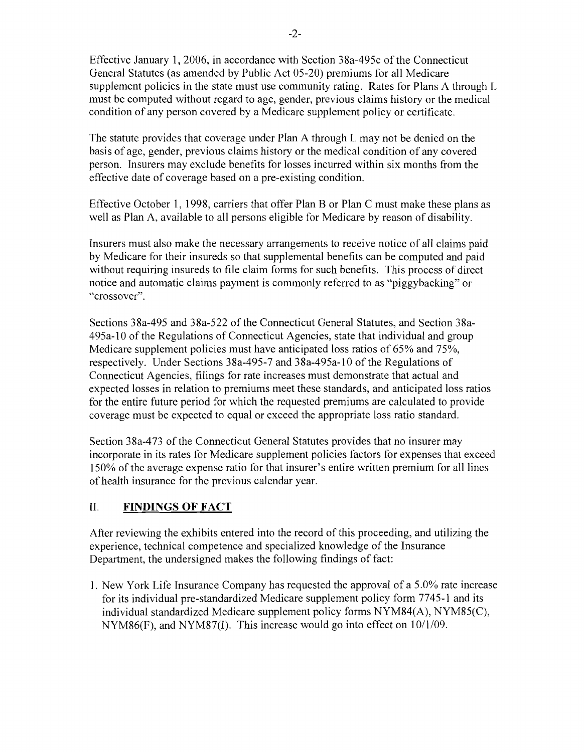Effective January 1,2006, in accordance with Section 38a-495c of the Connecticut General Statutes (as amended by Public Act 05-20) premiums for all Medicare supplement policies in the state must use community rating. Rates for Plans A through  $L$ must be computed without regard to age, gender, previous claims history or the medical condition of any person covered by a Medicare supplement policy or certificate.

The statute provides that coverage under Plan A through L may not be denied on the basis of age, gender, previous claims history or the medical condition of any covered person. Insurers may exclude benefits for losses incurred within six months from the effective date of coverage based on a pre-existing condition.

Effective October 1, 1998, carriers that offer Plan B or Plan C must make these plans as well as Plan A, available to all persons eligible for Medicare by reason of disability.

Insurers must also make the necessary arrangements to receive notice of all claims paid by Medicare for their insureds so that supplemental benefits can be computed and paid without requiring insureds to file claim forms for such benefits. This process of direct notice and automatic claims payment is commonly referred to as "piggybacking" or "crossover".

Sections 38a-495 and 38a-522 of the Connecticut General Statutes, and Section 38a-495a-l0 of the Regulations of Connecticut Agencies, state that individual and group Medicare supplement policies must have anticipated loss ratios of 65% and 75%, respectively. Under Sections 38a-495-7 and 38a-495a-l0 of the Regulations of Connecticut Agencies, filings for rate increases must demonstrate that actual and expected losses in relation to premiums meet these standards, and anticipated loss ratios for the entire future period for which the requested premiums are calculated to provide coverage must be expected to equal or exceed the appropriate loss ratio standard.

Section 38a-473 of the Connecticut General Statutes provides that no insurer may incorporate in its rates for Medicare supplement policies factors for expenses that exceed 150% of the average expense ratio for that insurer's entire written premium for all lines of health insurance for the previous calendar year.

#### II. **FINDINGS OF FACT**

After reviewing the exhibits entered into the record of this proceeding, and utilizing the experience, technical competence and specialized knowledge of the Insurance Department, the undersigned makes the following findings of fact:

1. New York Life Insurance Company has requested the approval of a  $5.0\%$  rate increase for its individual pre-standardized Medicare supplement policy form 7745-1 and its individual standardized Medicare supplement policy forms NYM84(A), NYM85(C), NYM86(F), and NYM87(I). This increase would go into effect on  $10/1/09$ .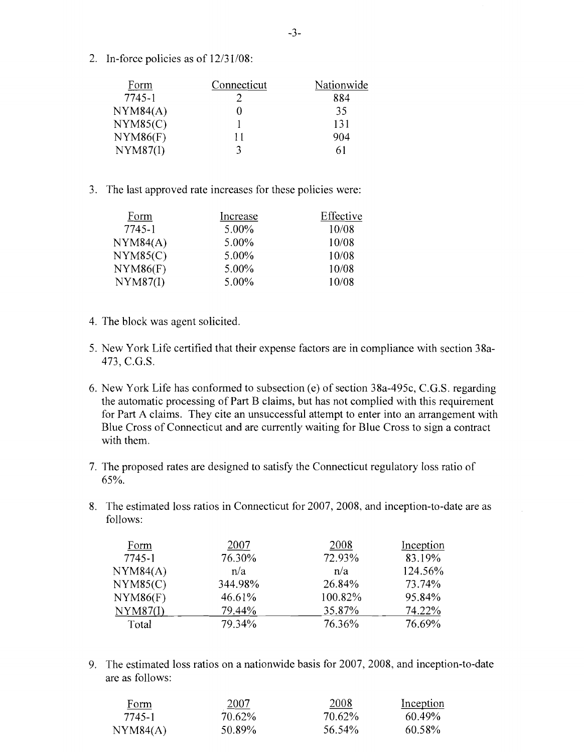2. In-force policies as of 12/31/08:

| Form     | Connecticut | Nationwide |
|----------|-------------|------------|
| 7745-1   |             | 884        |
| NYM84(A) |             | 35         |
| NYM85(C) |             | 131        |
| NYM86(F) | 11          | 904        |
| NYM87(I) |             |            |

3. The last approved rate increases for these policies were:

| Form     | Increase | Effective |
|----------|----------|-----------|
| 7745-1   | $5.00\%$ | 10/08     |
| NYM84(A) | 5.00%    | 10/08     |
| NYM85(C) | 5.00%    | 10/08     |
| NYM86(F) | $5.00\%$ | 10/08     |
| NYM87(I) | 5.00%    | 10/08     |

- 4. The block was agent solicited.
- 5. New York Life certified that their expense factors are in compliance with section 38a-473, C.G.S.
- 6. New York Life has conformed to subsection (e) of section 38a-495c, C.G.S. regarding the automatic processing of Part B claims, but has not complied with this requirement for Part A claims. They cite an unsuccessful attempt to enter into an arrangement with Blue Cross of Connecticut and are currently waiting for Blue Cross to sign a contract with them.
- 7. The proposed rates are designed to satisfy the Connecticut regulatory loss ratio of 65%.
- 8. The estimated loss ratios in Connecticut for 2007, 2008, and inception-to-date are as follows:

| Form     | 2007    | 2008    | Inception |
|----------|---------|---------|-----------|
| 7745-1   | 76.30%  | 72.93%  | 83.19%    |
| NYM84(A) | n/a     | n/a     | 124.56%   |
| NYM85(C) | 344.98% | 26.84%  | 73.74%    |
| NYM86(F) | 46.61%  | 100.82% | 95.84%    |
| NYM87(I) | 79.44%  | 35,87%  | 74.22%    |
| Total    | 79.34%  | 76.36%  | 76.69%    |
|          |         |         |           |

9. The estimated loss ratios on a nationwide basis for 2007,2008, and inception-to-date are as follows:

| Form     | <u> 2007</u> | 2008   | Inception |
|----------|--------------|--------|-----------|
| 7745-1   | 70.62%       | 70.62% | $60.49\%$ |
| NYM84(A) | 50.89%       | 56.54% | 60.58%    |